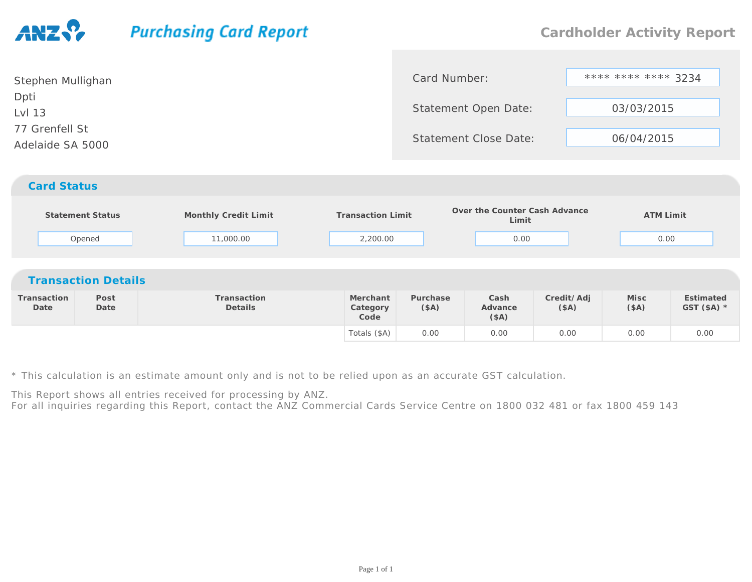## **Purchasing Card Report**

| Stephen Mullighan                  | Card Number:                 | **** **** **** 3234 |
|------------------------------------|------------------------------|---------------------|
| Dpti<br>Lvl 13                     | Statement Open Date:         | 03/03/2015          |
| 77 Grenfell St<br>Adelaide SA 5000 | <b>Statement Close Date:</b> | 06/04/2015          |
| <b>Card Status</b>                 |                              |                     |

|                     |                            |                        |                              |                  | Over the Counter Cash Advance |                    |                  |                           |
|---------------------|----------------------------|------------------------|------------------------------|------------------|-------------------------------|--------------------|------------------|---------------------------|
|                     | <b>Statement Status</b>    | Monthly Credit Limit   | <b>Transaction Limit</b>     |                  | Limit                         |                    | <b>ATM Limit</b> |                           |
|                     | Opened                     | 11,000.00              | 2,200.00                     |                  | 0.00                          |                    | 0.00             |                           |
|                     |                            |                        |                              |                  |                               |                    |                  |                           |
|                     | <b>Transaction Details</b> |                        |                              |                  |                               |                    |                  |                           |
| Transaction<br>Date | Post<br>Date               | Transaction<br>Details | Merchant<br>Category<br>Code | Purchase<br>(SA) | Cash<br>Advance<br>(SA)       | Credit/Adj<br>(SA) | Misc<br>(SA)     | Estimated<br>GST $($A)$ * |
|                     |                            |                        | Totals (\$A)                 | 0.00             | 0.00                          | 0.00               | 0.00             | 0.00                      |

\* This calculation is an estimate amount only and is not to be relied upon as an accurate GST calculation.

This Report shows all entries received for processing by ANZ.

For all inquiries regarding this Report, contact the ANZ Commercial Cards Service Centre on 1800 032 481 or fax 1800 459 143